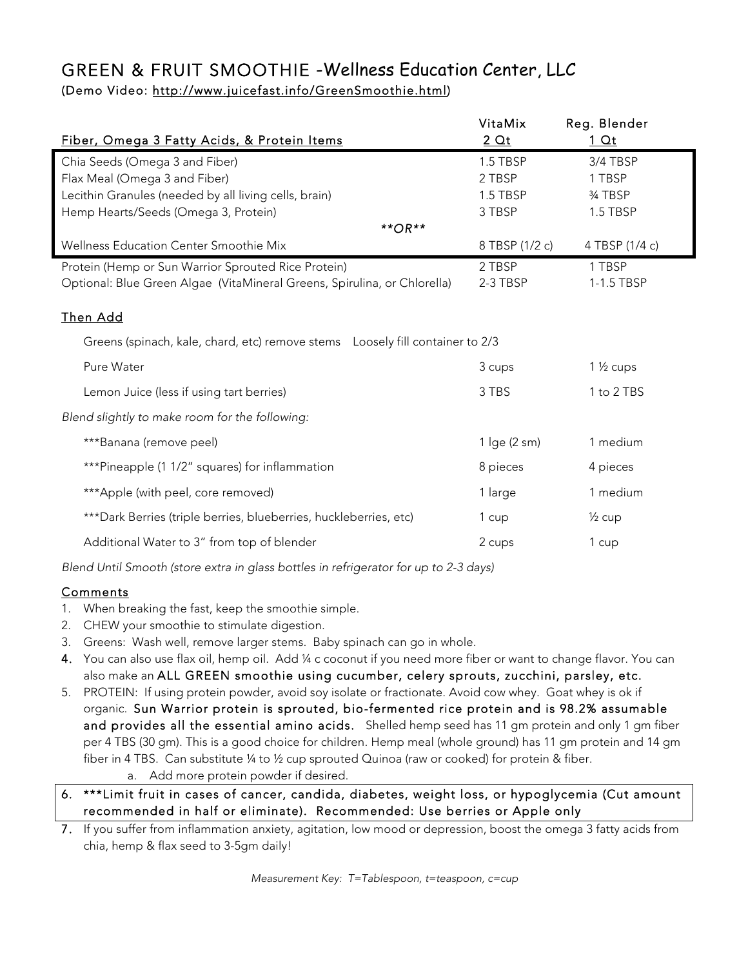## GREEN & FRUIT SMOOTHIE -Wellness Education Center, LLC (Demo Video: http://www.juicefast.info/GreenSmoothie.html)

| Fiber, Omega 3 Fatty Acids, & Protein Items                                    | VitaMix<br>2 <sub>Qt</sub> | Reg. Blender<br><u>1 Qt</u> |  |  |  |  |  |
|--------------------------------------------------------------------------------|----------------------------|-----------------------------|--|--|--|--|--|
|                                                                                |                            |                             |  |  |  |  |  |
| Chia Seeds (Omega 3 and Fiber)                                                 | 1.5 TBSP                   | 3/4 TBSP<br>1 TBSP          |  |  |  |  |  |
| Flax Meal (Omega 3 and Fiber)                                                  | 2 TBSP                     |                             |  |  |  |  |  |
| Lecithin Granules (needed by all living cells, brain)                          | 1.5 TBSP                   | 3⁄4 TBSP                    |  |  |  |  |  |
| Hemp Hearts/Seeds (Omega 3, Protein)                                           | 3 TBSP                     | 1.5 TBSP                    |  |  |  |  |  |
| $*$ * OR $*$                                                                   |                            |                             |  |  |  |  |  |
| Wellness Education Center Smoothie Mix                                         | 8 TBSP (1/2 c)             | 4 TBSP (1/4 c)              |  |  |  |  |  |
| Protein (Hemp or Sun Warrior Sprouted Rice Protein)                            | 2 TBSP                     | 1 TBSP                      |  |  |  |  |  |
| Optional: Blue Green Algae (VitaMineral Greens, Spirulina, or Chlorella)       | 2-3 TBSP                   | 1-1.5 TBSP                  |  |  |  |  |  |
|                                                                                |                            |                             |  |  |  |  |  |
| Then Add                                                                       |                            |                             |  |  |  |  |  |
| Greens (spinach, kale, chard, etc) remove stems  Loosely fill container to 2/3 |                            |                             |  |  |  |  |  |
| Pure Water                                                                     | 3 cups                     | $1\frac{1}{2}$ cups         |  |  |  |  |  |
| Lemon Juice (less if using tart berries)                                       | 3 TBS                      | 1 to 2 TBS                  |  |  |  |  |  |
| Blend slightly to make room for the following:                                 |                            |                             |  |  |  |  |  |
| ***Banana (remove peel)                                                        | 1 lge (2 sm)               | 1 medium                    |  |  |  |  |  |
| ***Pineapple (1 1/2" squares) for inflammation                                 | 8 pieces                   | 4 pieces                    |  |  |  |  |  |
| ***Apple (with peel, core removed)                                             | 1 large                    | 1 medium                    |  |  |  |  |  |
| ***Dark Berries (triple berries, blueberries, huckleberries, etc)              | 1 cup                      | $\frac{1}{2}$ cup           |  |  |  |  |  |
| Additional Water to 3" from top of blender                                     | 2 cups                     | 1 cup                       |  |  |  |  |  |
|                                                                                |                            |                             |  |  |  |  |  |

*Blend Until Smooth (store extra in glass bottles in refrigerator for up to 2-3 days)*

#### Comments

- 1. When breaking the fast, keep the smoothie simple.
- 2. CHEW your smoothie to stimulate digestion.
- 3. Greens: Wash well, remove larger stems. Baby spinach can go in whole.
- 4. You can also use flax oil, hemp oil. Add ¼ c coconut if you need more fiber or want to change flavor. You can also make an ALL GREEN smoothie using cucumber, celery sprouts, zucchini, parsley, etc.
- 5. PROTEIN: If using protein powder, avoid soy isolate or fractionate. Avoid cow whey. Goat whey is ok if organic. Sun Warrior protein is sprouted, bio-fermented rice protein and is 98.2% assumable and provides all the essential amino acids. Shelled hemp seed has 11 gm protein and only 1 gm fiber per 4 TBS (30 gm). This is a good choice for children. Hemp meal (whole ground) has 11 gm protein and 14 gm fiber in 4 TBS. Can substitute ¼ to ½ cup sprouted Quinoa (raw or cooked) for protein & fiber. a. Add more protein powder if desired.
- 6. \*\*\*Limit fruit in cases of cancer, candida, diabetes, weight loss, or hypoglycemia (Cut amount recommended in half or eliminate). Recommended: Use berries or Apple only
- 7. If you suffer from inflammation anxiety, agitation, low mood or depression, boost the omega 3 fatty acids from chia, hemp & flax seed to 3-5gm daily!